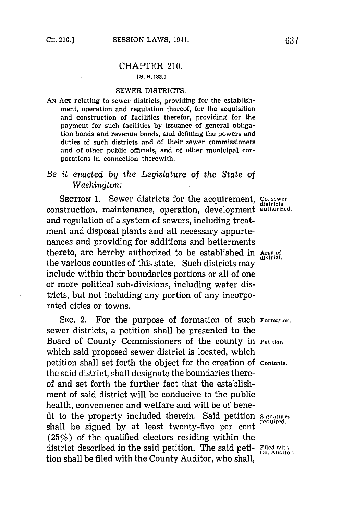### CHAPTER 210.

### **[S. B. 182.]**

## SEWER DISTRICTS.

**AN ACT** relating to sewer districts, providing for the establishment, operation and regulation thereof, for the acquisition and construction of facilities therefor, providing for the payment for such facilities **by** issuance of general obligation bonds and revenue bonds, and defining the powers and duties of such districts and of their sewer commissioners and of other public officials, and of other municipal corporations in connection therewith.

# *Be it enacted by the Legislature of the State of Washington:*

SECTION 1. Sewer districts for the acquirement, Co. sewer construction, maintenance, operation, development authorized. and regulation of a system of sewers, including treatment and disposal plants and all necessary appurtenances and providing for additions and betterments thereto, are hereby authorized to be established in Area of the various counties of this state. Such districts may district include within their boundaries portions or all of one or more political sub-divisions, including water districts, but not including any portion of any incorporated cities or towns.

SEC. 2. For the purpose of formation of such Formation. sewer districts, a petition shall be presented to the Board of County Commissioners of the county in Petition. which said proposed sewer district is located, which petition shall set forth the object for the creation of **Contents.** the said district, shall designate the boundaries thereof and set forth the further fact that the establishment of said district will be conducive to the public health, convenience and welfare and will be of benefit to the property included therein. Said petition Signatures shall be signed by at least twenty-five per cent (25%) of the qualified electors residing within the district described in the said petition. The said peti-  $_{\text{Co}\text{-}Auditor}^{\text{field}}$ . tion shall be filed with the County Auditor, who shall,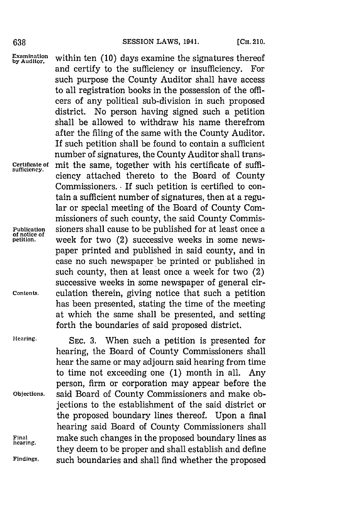**Examination** within ten (10) days examine the signatures thereof and certify to the sufficiency or insufficiency. For such purpose the County Auditor shall have access to all registration books in the possession of the officers of any political sub-division in such proposed district. No person having signed such a petition shall be allowed to withdraw his name therefrom after the filing of the same with the County Auditor. If such petition shall be found to contain a sufficient number of signatures, the County Auditor shall trans-Certificate of mit the same, together with his certificate of sufficiency attached thereto to the Board of County Commissioners. **-** If such petition is certified to contain a sufficient number of signatures, then at a regular or special meeting of the Board of County Commissioners of such county, the said County Commis-**Publication** sioners shall cause to be published for at least once a **of notice of** week for two (2) successive weeks in some newspaper printed and published in said county, and in case no such newspaper be printed or published in such county, then at least once a week for two (2) successive weeks in some newspaper of general cir-**Contents.** culation therein, giving notice that such a petition has been presented, stating the time of the meeting at which the same shall be presented, and setting forth the boundaries of said proposed district.

**Hearing. SEC. 3.** When such a petition is presented for hearing, the Board of County Commissioners shall hear the same or may adjourn said hearing from time to time not exceeding one **(1)** month in all. Any person, firm or corporation may appear before the **Objections,** said Board of County Commissioners and make objections to the establishment of the said district or the proposed boundary lines thereof. Upon a final hearing said Board of County Commissioners shall **Final** make such changes in the proposed boundary lines as **becaring.** they deem to be proper and shall establish and define **Findings,** such boundaries and shall find whether the proposed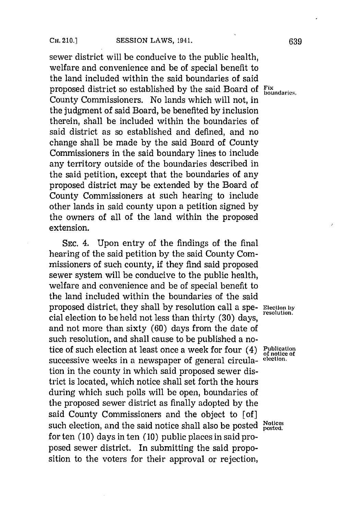sewer district will be conducive to the public health, welfare and convenience and be of special benefit to the land included within the said boundaries of said proposed district so established **by** the said Board of **Fix** County Commissioners. No lands which will not, in the judgment of said Board, be benefited **by** inclusion therein, shall be included within the boundaries of said district as so established and defined, and no change shall be made **by** the said Board of County Commissioners in the said boundary lines to include any territory outside of the boundaries described in the said petition, except that the boundaries of any proposed district may be extended **by** the Board of County Commissioners at such hearing to include other lands in said county upon a petition signed **by** the owners of all of the land within the proposed extension.

**SEc.** 4. Upon entry of the findings of the final hearing of the said petition **by** the said County Commissioners of such county, if they find said proposed sewer system will be conducive to the public health, welfare and convenience and be of special benefit to the land included within the boundaries of the said proposed district, they shall by resolution call a spe- **Election** by cial election to be held not less than thirty (30) days. and not more than sixty **(60)** days from the date of such resolution, and shall cause to be published a notice of such election at least once a week for four (4) **Publication** successive weeks in a newspaper of general circula- **election.** tion in the county in which said proposed sewer district is located, which notice shall set forth the hours during which such polls will be open, boundaries of the proposed sewer district as finally adopted **by** the said County Commissioners and the object to [of **]** such election, and the said notice shall also be posted  $_{\text{noted}}^{\text{Notces}}$ for ten **(10)** days in ten **(10)** public places in said proposed sewer district. In submitting the said proposition to the voters for their approval or rejection,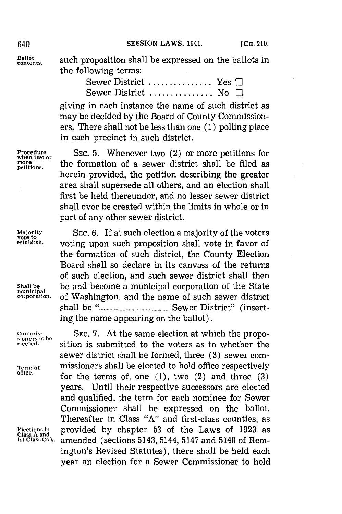$\mathbf{r}$ 

**Ballot**

**contents,** such proposition shall be expressed on the ballots in the following terms:

| Sewer District  Yes $\Box$   |  |
|------------------------------|--|
| Sewer District  No $\square$ |  |

giving in each instance the name of such district as may be decided **by** the Board of County Commissioners. There shall not be less than one **(1)** polling place in each precinct in such district.

**Procedure** SEC. 5. Whenever two (2) or more petitions for when two or the formation of a sewer district shall be filed as petitions. the formation of a sewer district shall be filed as herein provided, the petition describing the greater area shall supersede all others, and an election shall first be held thereunder, and no lesser sewer district shall ever be created within the limits in whole or in part of any other sewer district.

Majority **SEC. 6.** If at such election a majority of the voters vote to **SEC. 6.** If at such election a majority of the voters **v**otion, which is the vote to the vote to the variablesh. **establish,** voting upon such proposition shall vote in favor of the formation of such district, the County Election Board shall so declare in its canvass of the returns of such election, and such sewer district shall then Shall be **be** and become a municipal corporation of the State municipal **corpora'tion .** of Washington, and the name of such sewer district shall be **."............................** Sewer District" (inserting, the name appearing on the ballot).

**Commis-**<br> **SEC. 7.** At the same election at which the propo-<br> **biological** elected, sition is submitted to the voters as to whether the sition is submitted to the voters as to whether the sewer district shall be formed, three **(3)** sewer com-**Term of** missioners shall be elected to hold office respectively for the terms of, one  $(1)$ ,  $two (2)$  and three  $(3)$ years. Until their respective successors are elected and qualified, the term for each nominee for Sewer Commissioner shall be expressed on the ballot. Thereafter in Class **"A"** and first-class counties, as Elections in **provided** by chapter 53 of the Laws of 1923 as Class A and **Class** Co's, a mended (sections 5143, 5144, 5147 and 5148 of Rem. **1st class Co's.** amended (sections 5143, 5144, 5147 and 5148 of Remington's Revised Statutes), there shall be held each year an election for a Sewer Commissioner to hold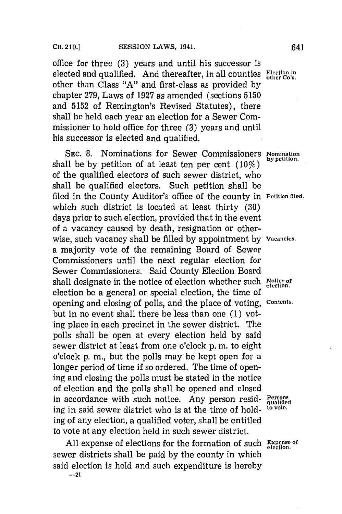# CH. 210.] **SESSION LAWS, 1941.** 641

office for three **(3)** years and until his successor is elected and qualified. And thereafter, in all counties Election in other than Class **"A"** and first-class as provided **by** chapter **279,** Laws of **1927** as amended (sections **5150** and **5152** of Remington's Revised Statutes), there shall be held each year an election for a Sewer Commissioner to hold office for three **(3)** years and until his successor is elected and qualified.

**SEC. 8.** Nominations for Sewer Commissioners **Nomination** shall be by petition of at least ten per cent  $(10\%)$ of the qualified electors of such sewer district, who shall be qualified electors. Such petition shall be filed in the County Auditor's office of the county in **Petition filed.** which such district is located at least thirty **(30)** days prior to such election, provided that in the event of a vacancy caused **by** death, resignation or otherwise, such vacancy shall be filled **by** appointment **by Vacancies.** a majority vote of the remaining Board of Sewer Commissioners until the next regular election for Sewer Commissioners. Said County Election Board shall designate in the notice of election whether such **Notice of election.** election be a general or special election, the time of opening and closing of polls, and the place of voting, **contents.** but in no event shall there be less than one **(1)** voting place in each precinct in the sewer district. The polls shall be open at every election held **by** said sewer district at least from one o'clock **p.** m. to eight o'clock **p. in.,** but the polls may be kept open for a longer period of time if so ordered. The time of opening and closing the polls must be stated in the notice of election and the polls shall be opened and closed in accordance with such notice. Any person resid- Persons ing in said sewer district who is at the time of hold- **to vote.** ing of any election, a qualified voter, shall be entitled to vote at any election held in such sewer district.

**All** expense of elections for the formation of such Expense **of** sewer districts shall be paid **by** the county in which said election is held and such expenditure is hereby

**-21**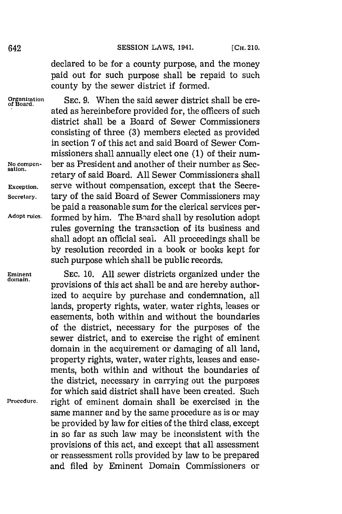declared to be for a county purpose, and the money paid out for such purpose shall be repaid to such county **by** the sewer district if formed.

**Organization SEC. 9.** When the said sewer district shall be cre- **of Board.** ated as hereinbefore provided for, the officers of such district shall be a Board of Sewer Commissioners consisting of three **(3)** members elected as provided in section **7** of this act and said Board of Sewer Commissioners shall annually elect one **(1)** of their num-**No conmpen-** ber as President and another of their number as Sec**sation.** retary of said Board. **All** Sewer Commissioners shall **Exception,** serve without compensation, except that the Secre-**Secretary.** tary of the said Board of Sewer Commissioners may be paid a reasonable sum for the clerical services per-**Adopt rules,** formed **by** him. The Bnard shall **by** resolution adopt rules governing the transaction of its business and shall adopt an official seal. **All** proceedings shall be **by** resolution recorded in a book or books kept for such purpose which shall be public records.

**Eminent SEC. 10. All** sewer districts organized under the provisions of this act shall be and are hereby authorized to acquire **by** purchase and condemnation, all lands, property rights, water, water rights, leases or easements, both within and without the boundaries of the district, necessary for the purposes of the sewer district, and to exercise the right of eminent domain in the acquirement or damaging of all land, property rights, water, water rights, leases and easements, both within and without the boundaries of the district, necessary in carrying out the purposes for which said district shall have been created. Such **Procedure,** right of eminent domain shall be exercised in the same manner and **by** the same procedure as is or may be provided **by** law for cities of the third class, except in so far as such law may be inconsistent with the provisions of this act, and except that all assessment or reassessment rolls provided **by** law to be prepared and filed **by** Eminent Domain Commissioners or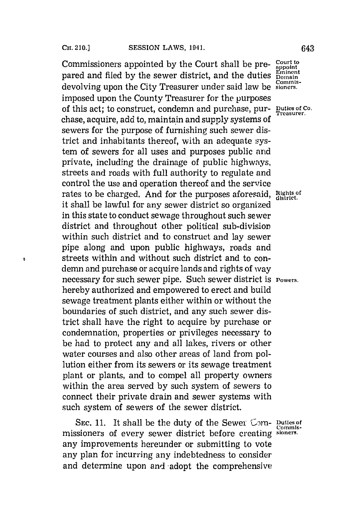W

Commissioners appointed **by** the Court shall be pre- **court to appoint** pared and filed by the sewer district, and the duties  $\frac{\text{Emine}}{\text{Domai}}$ **CoMinis-** devolving upon the City Treasurer under said law be **sioners.** imposed upon the County Treasurer for the purposes of this act; to construct, condemn and purchase, pur- **Duties of Co.** chase, acquire, add to, maintain and supply systems of sewers for the purpose of furnishing such sewer district and inhabitants thereof, with an adequate system of sewers for all uses and purposes public and private, including the drainage of public highways, streets and roads with full authority to regulate and control the use and operation thereof and the service rates to be charged. And for the purposes aforesaid, Rights of it shall be lawful for any sewer district so organized in this state to conduct sewage throughout such sewer district and throughout other political sub-division within such district and to construct and lay sewer pipe along and upon public highways, roads and streets within and without such district and to condemn and purchase or acquire lands and rights of way necessary for such sewer pipe. Such sewer district is **Powers.** hereby authorized and empowered to erect and build sewage treatment plants either within or without the boundaries of such district, and any such sewer district shall have the right to acquire **by** purchase or condemnation, properties or privileges necessary to be had to protect any and all lakes, rivers or other water courses and also other areas of land from pollution either from its sewers or its sewage treatment plant or plants, and to compel all property owners within the area served **by** such system of sewers to connect their private drain and sewer systems with such system of sewers of the sewer district.

**SEC. 11.** It shall be the duty of the Sewer Com- Duties of missioners of every sewer district before creating **sioners.** any improvements hereunder or submitting to vote any plan for incurring any indebtedness to consider and determine upon and adopt the comprehensive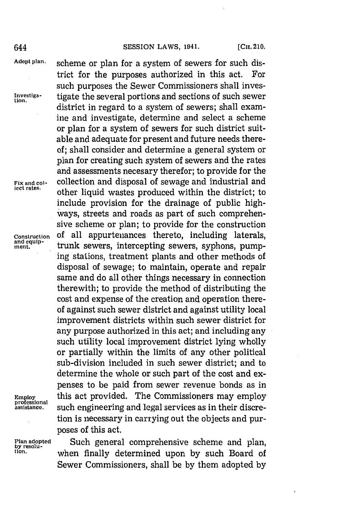### 644 **SESSION LAWS, 1941.** [CH. 210.

trict for the purposes authorized in this act. For such purposes the Sewer Commissioners shall inves-

district in regard to a system of sewers; shall examine and investigate, determine and select a scheme or plan for a system of sewers for such district suitable and adequate for present and future needs thereof; shall consider and determine a general system or plan for creating such system of sewers and the rates and assessments necesary therefor; to provide for the

other liquid wastes produced within the district; to

**Adapt plan,** scheme or plan for a system of sewers for such dis-

**Investiga-** tigate the several portions and sections of such sewer **tion.**

Fix and col-<br>lect rates.<br>**Fix and collect rates** 

include provision for the drainage of public highways, streets and roads as part of such comprehensive scheme or plan; to provide for the construction **Construction Of** all appurtenances thereto, including laterals, and equip-<br>ment. trunk sewers, intercepting sewers, syphons, pumping stations, treatment plants and other methods of disposal of sewage; to maintain, operate and repair same and do all other things necessary in connection therewith; to provide the method of distributing the cost and expense of the creation and operation thereof against such sewer district and against utility local improvement districts within such sewer district for any purpose authorized in this act; and including any such utility local improvement district lying wholly or partially within the limits of any other political sub-division included in such sewer district; and to determine the whole or such part of the cost and expenses to be paid from sewer revenue bonds as in **Employ** this act provided. The Commissioners may employ assistance. such engineering and legal services as in their discretion is necessary in carrying out the objects and purposes of this act.

Plan adopted **Such general comprehensive scheme and plan,** by resolu-<br>by resolu-<br>tion. **by** *when finally determined upon by* **such Board of** Sewer Commissioners, shall be **by** them adopted **by**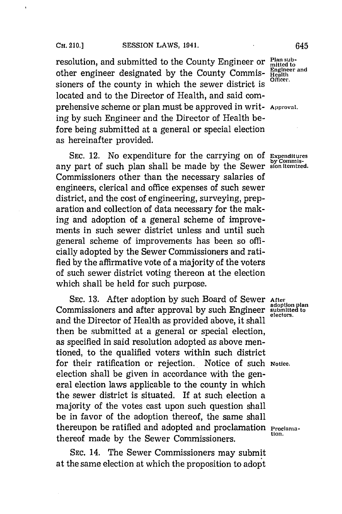resolution, and submitted to the County Engineer or Flan sub-<br>other engineer designated by the County Commis-Engineer and other engineer designated by the County Commis- Health sioners of the county in which the sewer district is located and to the Director of Health, and said comprehensive scheme or plan must be approved in writ- **Approval.** ing **by** such Engineer and the Director of Health before being submitted at a general or special election as hereinafter provided.

**SEC. 12.** No expenditure for the carrying on of Expenditures any part of such plan shall be made by the Sewer sion *itemized*. Commissioners other than the necessary salaries of engineers, clerical and office expenses of such sewer district, and the cost of engineering, surveying, preparation and collection of data necessary for the making and adoption of a general scheme of improvements in such sewer district unless and until such general scheme of improvements has been so officially adopted **by** the Sewer Commissioners and ratified by the affirmative vote of a majority of the voters of such sewer district voting thereon at the election which shall be held for such purpose.

**SEC. 13.** After adoption **by** such Board of Sewer **After adoption plan** Commissioners and after approval **by** such Engineer **submitted to** and the Director of Health as provided above, it shall then be submitted at a general or special election, as specified in said resolution adopted as above mentioned, to the qualified voters within such district for their ratification or rejection. Notice of such **Notice.** election shall be given in accordance with the general election laws applicable to the county in which the sewer district is situated. If at such election a majority of the votes cast upon such question shall be in favor of the adoption thereof, the same shall thereupon be ratified and adopted and proclamation **Proclamation** thereof made by the Sewer Commissioners.

**SEC.** 14. The Sewer Commissioners may submit at the same election at which the proposition to adopt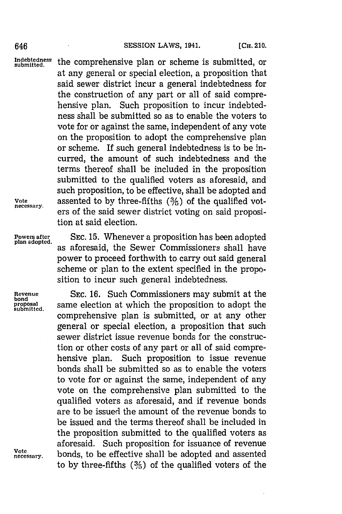Indebtedness the comprehensive plan or scheme is submitted, or at any general or special election, a proposition that said sewer district incur a general indebtedness for the construction of any part or all of said comprehensive plan. Such proposition to incur indebtedness shall be submitted so as to enable the voters to vote for or against the same, independent of any vote on the proposition to adopt the comprehensive plan or scheme. If such general indebtedness is to be incurred, the amount of such indebtedness and the terms thereof shall be included in the proposition submitted to the qualified voters as aforesaid, and such proposition, to be effective, shall be adopted and Vote assented to **by** three-fifths (3%) of the qualified voters of the said sewer district voting on said proposition at said election.

**bond** proposal<br>submitted.

Powers after **SEC. 15. Whenever a proposition has been adopted plan adopted** as aforesaid, the Sewer Commissioners shall have power to proceed forthwith to carry out said general scheme or plan to the extent specified in the proposition to incur such general indebtedness.

**Revenue** SEC. **16.** Such Commissioners may submit at the same election at which the proposition to adopt the comprehensive plan is submitted, or at any other general or special election, a proposition that such sewer district issue revenue bonds for the construction or other costs of any part or all of said comprehensive plan. Such proposition to issue revenue bonds shall be submitted so as to enable the voters to vote for or against the same, independent of any vote on the comprehensive plan submitted to the qualified voters as aforesaid, and if revenue bonds are to be issued the amount of the revenue bonds to be issued and the terms thereof shall be included in the proposition submitted to the qualified voters as aforesaid. Such proposition for issuance of revenue **necessary.** bonds, to be effective shall be adopted and assented to by three-fifths  $(3/2)$  of the qualified voters of the

**Vote**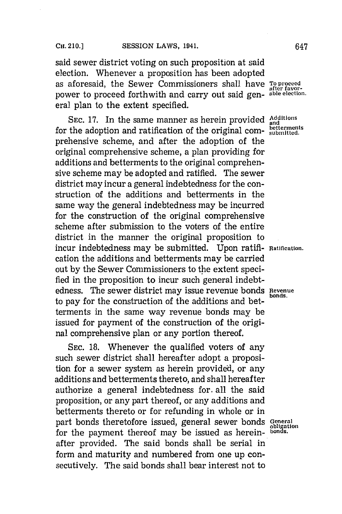# CH. 210.] SESSION LAWS, 1941. 647

said sewer district voting on such proposition at said election. Whenever a proposition has been adopted as aforesaid, the Sewer Commissioners shall have **To proceed** after favorpower to proceed forthwith and carry out said gen- **able election.** eral plan to the extent specified.

SEC. 17. In the same manner as herein provided **Additio** for the adoption and ratification of the original com-  $_{\rm submitted}^{\rm better}\,$ prehensive scheme, and after the adoption of the original comprehensive scheme, a plan providing for additions and betterments to the original comprehensive scheme may be adopted and ratified. The sewer district may incur a general indebtedness for the construction of the additions and betterments in the same way the general indebtedness may be incurred for the construction of the original comprehensive scheme after submission to the voters of the entire district in the manner the original proposition to incur indebtedness may be submitted. Upon ratifi- **Ratification.** cation the additions and betterments may be carried out **by** the Sewer Commissioners to the extent specified in the proposition to incur such general indebtedness. The sewer district may issue revenue bonds **Revenue** to pay for the construction of the additions and betterments in the same way revenue bonds may be issued for payment of the construction of the original comprehensive plan or any portion thereof.

**SEC. 18.** Whenever the qualified voters of any such sewer district shall hereafter adopt a proposition for a sewer system as herein provided, or any additions and betterments thereto, and shall hereafter authorize a general indebtedness for. all the said proposition, or any part thereof, or any additions and betterments thereto or for refunding in whole or in part bonds theretofore issued, general sewer bonds **General obligation** for the payment thereof may be issued as herein- **bonds**. after provided. The said bonds shall be serial in form and maturity and numbered from one up consecutively. The said bonds shall bear interest not to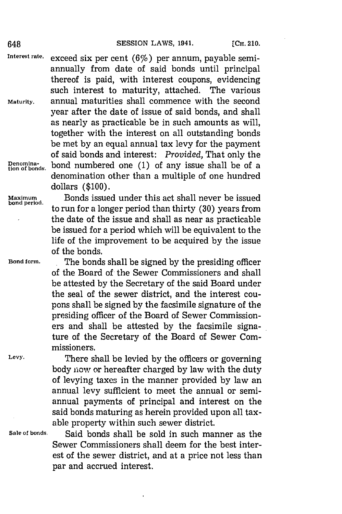Interest rate. exceed six per cent (6%) per annum, payable semiannually from date of said bonds until principal thereof is paid, with interest coupons, evidencing such interest to maturity, attached. The various **Maturity,** annual maturities shall commence with the second year after the date of issue of said bonds, and shall as nearly as practicable be in such amounts as will, together with the interest on all outstanding bonds be met **by** an equal annual tax levy for the payment of said bonds and interest: *Provided,* That only the Denomina-<br>tion of bonds. bond numbered one (1) of any issue shall be of a denomination other than a multiple of one hundred dollars **(\$100).**

Maximum **Bonds** issued under this act shall never be issued bond period. to run for a longer period than thirty (30) years from the date of the issue and shall as near as practicable be issued for a period which will be equivalent to the life of the improvement to be acquired **by** the issue of the bonds.

**Bond form.** .The bonds shall be signed **by** the presiding officer of the Board of the Sewer Commissioners and shall be attested **by** the Secretary of the said Board under the seal of the sewer district, and the interest coupons shall be signed **by** the facsimile signature of the presiding officer of the Board of Sewer Commissioners and shall be attested **by** the facsimile signature of the Secretary of the Board of Sewer Commissioners.

**Levy'.** There shall be levied **by** the officers or governing body now or hereafter charged **by** law with the duty of levying taxes in the manner provided **by** law an annual levy sufficient to meet the annual or semiannual payments of principal and interest on the said bonds maturing as herein provided upon all taxable property within such sewer district.

**Sale of bonds,** Said bonds shall be sold in such manner as the Sewer Commissioners shall deem for the best interest of the sewer district, and at a price not less than par and accrued interest.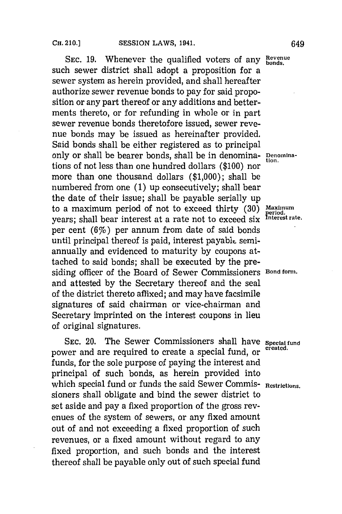SEC. 19. Whenever the qualified voters of any Bevenue such sewer district shall adopt a proposition for a sewer system as herein provided, and shall hereafter authorize sewer revenue bonds to pay for said proposition or any part thereof or any additions and betterments thereto, or for refunding in whole or in part sewer revenue bonds theretofore issued, sewer revenue bonds may be issued as hereinafter provided. Said bonds shall be either registered as to principal only or shall be bearer bonds, shall be in denomina- **Denomina**tions of not less than one hundred dollars (\$100) nor more than one thousand dollars **(\$1,000);** shall be numbered from one **(1)** up consecutively; shall bear the date of their issue; shall be payable serially up to a maximum period of not to exceed thirty (30) Maximum<br>work: shall been interest at a rate not to exceed six interestrate. years; shall bear interest at a rate not to exceed six **£nterest rate.** per cent  $(6%)$  per annum from date of said bonds until principal thereof is paid, interest payable semiannually and evidenced to maturity **by** coupons attached to said bonds; shall be executed **by** the presiding officer of the Board of Sewer Commissioners **Bond forrm.** and attested **by** the Secretary thereof and the seal of the district thereto affixed; and may have facsimile signatures of said chairman or vice-chairman and Secretary imprinted on the interest coupons in lieu of original signatures.

SEC. 20. The Sewer Commissioners shall have *Special fund*<br>created. power and are required to create a special fund, or funds, for the sole purpose of paying the interest and principal of such bonds, as herein provided into which special fund or funds the said Sewer Commis- Restrictions. sioners shall obligate and bind the sewer district to set aside and pay a fixed proportion of the gross revenues of the system of sewers, or any fixed amount out of and not exceeding a fixed proportion of such revenues, or a fixed amount without regard to any fixed proportion, and such bonds and the interest thereof shall be payable only out of such special fund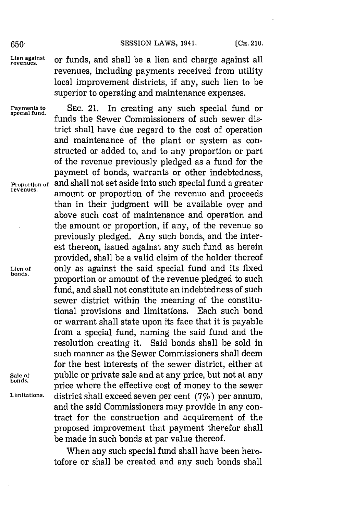### 650 **SESSION LAWS, 1941.** [CH. 210.

**special fund.**

Lien against or funds, and shall be a lien and charge against all revenues, including payments received from utility local improvement districts, if any, such lien to be superior to operating and maintenance expenses.

**Payments to SEC.** 21. In creating any such special fund or funds the Sewer Commissioners of such sewer district shall have due regard to the cost of operation and maintenance of the plant or system as constructed or added to, and to any proportion or part of the revenue previously pledged as a fund for the payment of bonds, warrants or other indebtedness, and shall not set aside into such special fund a greater **Proportion of** and shall not set aside into such special fund a greater reveues. amount or proportion of the revenue and proceeds than in their judgment will be available over and above such cost of maintenance and operation and the amount or proportion, if any, of the revenue so previously pledged. Any such bonds, and the interest thereon, issued against any such fund as herein provided, shall be a valid claim of the holder thereof Lien of **only as against the said special fund and its fixed** proportion or amount of the revenue pledged to such fund, and shall not constitute an indebtedness of such sewer district within the meaning of the constitutional provisions and limitations. Each such bond or warrant shall state upon its face that it is payable from a special fund, naming the said fund and the resolution creating it. Said bonds shall be sold in such manner as the Sewer Commissioners shall deem for the best interests of the sewer district, either at **Sale of public or private sale and at any price, but not at any price where the effective cost of money to the sewer Limitations,** district, shall exceed seven per cent **(7%)** per annum, and the said Commissioners may provide in any contract for the construction and acquirement of the proposed improvement that payment therefor shall be made in such bonds at par value thereof.

> When any such special fund shall have been heretofore or shall be created and any such bonds shall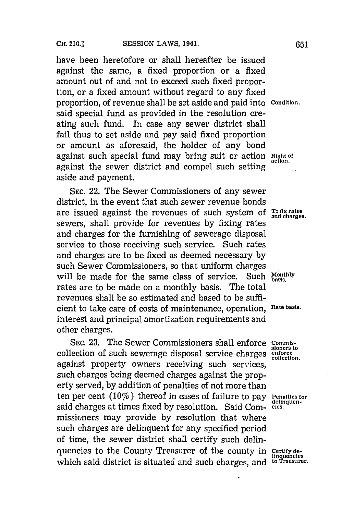have been heretofore or shall hereafter be issued against the same, a fixed proportion or a fixed amount out of and not to exceed such fixed proportion, or a fixed amount without regard to any fixed proportion, of revenue shall be set aside and paid into **Condition.** said special fund as provided in the resolution creating such fund. In case any sewer district shall fail thus to set aside and pay said fixed proportion or amount as aforesaid, the holder of any bond against such special fund may bring suit or action Right of against the sewer district and compel such setting aside and payment.

**SEC.** 22. The Sewer Commissioners of any sewer district, in the event that such sewer revenue bonds are issued against the revenues of such system of Tofix rates sewers, shall provide for revenues **by** fixing rates and charges for the furnishing of sewerage disposal service to those receiving such service. Such rates and charges are to be fixed as deemed necessary **by** such Sewer Commissioners, so that uniform charges<br>will be made for the same class of service. Such Monthly will be made for the same class of service. rates are to be made on a monthly basis. The total revenues shall be so estimated and based to be sufficient to take care of costs of maintenance, operation, **Rate basis.** interest and principal amortization requirements and other charges.

**SEC. 23.** The Sewer Commissioners shall enforce **commis**collection of such sewerage disposal service charges **enforce** against property owners receiving such services, such charges being deemed charges against the property served, **by** addition of penalties of not more than ten per cent (10%) thereof in cases of failure to pay **Penalties for** delinguensaid charges at times fixed by resolution. Said Com-cies. missioners may provide **by** resolution that where such charges are delinquent for any specified period of time, the sewer district shall certify such delinquencies to the County Treasurer of the county in **Certify do-linquencies** which said district is situated and such charges, and <sup>to Treasurer.</sup>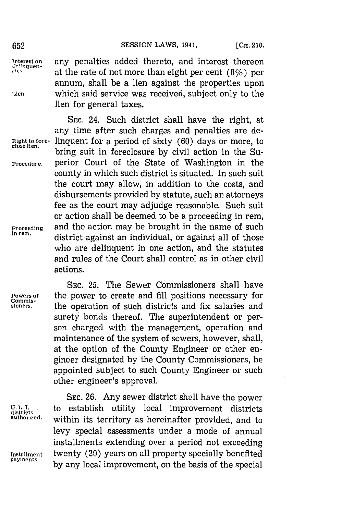**,qe** at the rate of not more than eight per cent (8%) per annum, shall be a lien against the properties upon

**SEC.** 24. Such district shall have the right, at any time after such charges and penalties are de-

bring suit in foreclosure by civil action in the Su-

county in which such district is situated. In such suit the court may allow, in addition to the costs, and disbursements provided **by** statute, such an attorneys fee as the court may adjudge reasonable. Such suit or action shall be deemed to be a proceeding in rem,

district against an individual, or against all of those who are delinquent in one action, and the statutes and rules of the Court shall control as in other civil

lien for general taxes.

Interest on any penalties added thereto, and interest thereon attan

**Lien. which said service was received, subject only to the** 

**Right to fore-** linquent for a period of sixty **(60)** days or more, to

**Procedure.** perior Court of the State of Washington in the

**Proceeding** and the action may be brought in the name of such in rem.

actions.

**SEC. 25.** The Sewer Commissioners shall have **Powers of** the power to create and **fill** positions necessary for sioners. the operation of such districts and fix salaries and surety bonds thereof. The superintendent or person charged with the management, operation and maintenance of the system of sewers, however, shall, at the option of the County Engineer or other engineer designated **by** the County Commissioners, be appointed subject to such County Engineer or such other engineer's approval.

SEC. 26. Any sewer district shall have the power **U. 11. 1.** to establish utility local improvement districts **districts** within its territory as hereinafter provided, and to levy special assessments under a mode of annual installments extending over a period not exceeding **Installment** twenty (20) years on all property specially benefited by any local improvement, on the basis of the special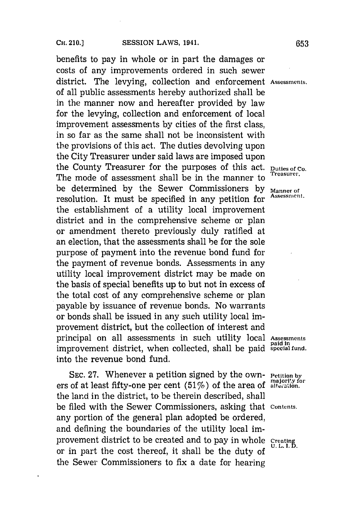benefits to pay in whole or in part the damages or costs of any improvements ordered in such sewer district. The levying, collection and enforcement **Assessments.** of all public assessments hereby authorized shall be in the manner now and hereafter provided **by** law for the levying, collection and enforcement of local improvement assessments **by** cities of the first class, in so far as the same shall not be inconsistent with the provisions of this act. The duties devolving upon the City Treasurer under said laws are imposed upon the County Treasurer for the purposes of this act. **Duties of Co.** The mode of assessment shall be in the manner to be determined **by** the Sewer Commissioners **by Manner of** resolution. It must be specified in any petition for the establishment of a utility local improvement district and in the comprehensive scheme or plan or amendment thereto previously duly ratified at an election, that the assessments shall be for the sole purpose of payment into the revenue bond fund for the payment of revenue bonds. Assessments in any utility local improvement district may be made on the basis of special benefits up to but not in excess of the total cost of any comprehensive scheme or plan payable **by** issuance of revenue bonds. No warrants or bonds shall be issued in any such utility local improvement district, but the collection of interest and principal on all assessments in such utility local **Assessments paid in** improvement district, when collected, shall be paid special fund. into the revenue bond fund.

**SEC. 27. Whenever a petition signed by the own-** Petition by ers of at least fifty-one per cent (51%) of the area of alteration. the land in the district, to be therein described, shall be filed with the Sewer Commissioners, asking that **Contents.** any portion of the general plan adopted be ordered, and defining the boundaries of the utility local improvement district to be created and to pay in whole **Creating**<br>U.L.I.D. or in part the cost thereof, it shall be the duty of the Sewer Commissioners to fix a date for hearing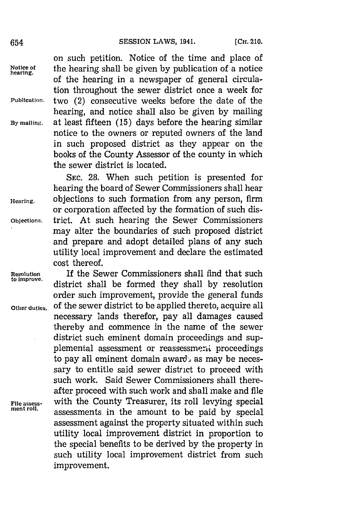654 **SESSION LAWS, 1941.** [CH. 210.

on such petition. Notice of the time and place of **Notice of** the hearing. shall be given **by** publication of a notice of the hearing in a newspaper of general circulation throughout the sewer district once a week for Publication, two (2) consecutive weeks before the date of the hearing, and notice shall also be given **by** mailing **By** mailing, at least fifteen **(15)** days before the hearing similar notice to the owners or reputed owners of the land in such proposed district as they appear on the books of the County Assessor of the county in which the sewer district is located.

**SEC. 28.** When such petition is presented for hearing the board of Sewer Commissioners shall hear **Hearing,** objections to such formation from any person, firm or corporation affected **by** the formation of such dis-**Objections.** trict. At such hearing the Sewer Commissioners may alter the boundaries of such proposed district and prepare and adopt detailed plans of any such utility local improvement and declare the estimated cost thereof.

**Resolution** If the Sewer Commissioners shall find that such **to improve.** district shall be formed they shall **by** resolution order such improvement, provide the general funds **Other duties,** of the sewer district to be applied thereto, acquire all necessary lands therefor, pay all damages caused thereby and commence in the name of the sewer district such eminent domain proceedings and supplemental assessment or reassessment proceedings to pay all eminent domain award, as may be necessary to entitle said sewer district to proceed with such work. Said Sewer Commissioners shall thereafter proceed with such work and shall make and file **File assess-** with the County Treasurer, its roll levying special men rol. assessments in the amount to be paid **by** special assessment against the property situated within such utility local improvement district in proportion to the special benefits to be derived **by** the property in such utility local improvement district from such improvement.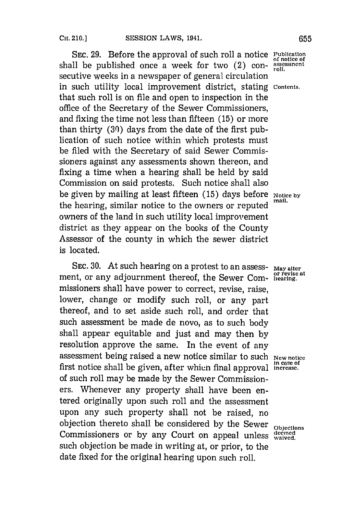**SEC. 29.** Before the approval of such roll a notice **Publication** shall be published once a week for two  $(2)$  consecutive weeks in a newspaper of general circulation in such utility local improvement district, stating **Contents.** that such roll is on file and open to inspection in the office of the Secretary of the Sewer Commissioners, and fixing the time not less than fifteen **(15)** or more than thirty **(30)** days from the date of the first publication of such notice within which protests must be filed with the Secretary of said Sewer Commissioners against any assessments shown thereon, and fixing a time when a hearing shall be held **by** said Commission on said protests. Such notice shall also be given by mailing at least fifteen (15) days before **Notice by** the hearing, similar notice to the owners or reputed owners of the land in such utility local improvement district as they appear on the books of the County Assessor of the county in which the sewer district is located.

SEC. 30. At such hearing on a protest to an assess- May alter ment, or any adjournment thereof, the Sewer Com-bearing. missioners shall have power to correct, revise, raise, lower, change or modify such roll, or any part thereof, and to set aside such roll, and order that such assessment be made de novo, as to such body shall appear equitable and just and may then **by** resolution approve the same. In the event of any assessment being raised a new notice similar to such **New notice** first notice shall be given, after which final approval increase. of such roll may be made **by** the Sewer Commissioners. Whenever any property shall have been entered originally upon such roll and the assessment upon any such property shall not be raised, no objection thereto shall be considered **by** the Sewer **Objections** Commissioners or by any Court on appeal unless waived. such objection be made in writing at, or prior, to the date fixed for the original hearing upon such roll.

**of notice of**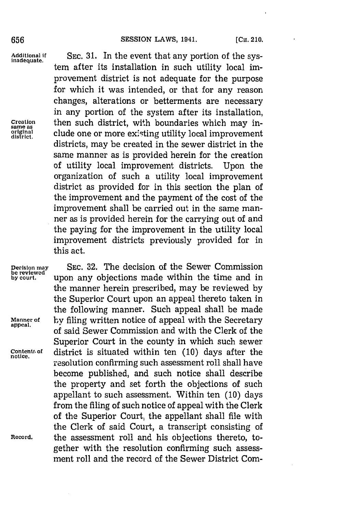### 656 **SESSION LAWS, 1941. [CH. 210. ]**

**Additional If SEC. 31.** In the event that any portion of the sys- **inadequate.** tem after its installation in such utility local improvement district is not adequate for the purpose for which it was intended, or that for any reason changes, alterations or betterments are necessary in any portion of the system after its installation, **Creation** then such district, with boundaries which may in- **same as oisricna** elude one or more ex'sting utility local improvement districts, may be created in the sewer district in the same manner as is provided herein for the creation of utility local improvement districts. Upon the organization of such a utility local improvement district as provided for in this section the plan of the improvement and the payment of the cost of the improvement shall be carried out in the same manner as is provided herein for the carrying out of and the paying for the improvement in the utility local improvement districts previously provided for in this act.

**Decision may SEC. 32.** The decision of the Sewer Commission **be reviewed**

**by court,** upon any objections made within the time and in the manner herein prescribed, may be reviewed **by** the Superior Court upon an appeal thereto taken in the following manner. Such appeal shall be made **Manner of by** filing written notice of appeal with the Secretary of said Sewer Commission and with the Clerk of the Superior Court in the county in which such sewer **contentf. of** district is situated within ten **(10)** days after the **notice.** resolution confirming such assessment roll shall have become published, and such notice shall describe the property and set forth the objections of such appellant to such assessment. Within ten **(10)** days from the filing of such notice of appeal with the Clerk of the Superior Court, the appellant shall file with the Clerk of said Court, a transcript consisting of **Record,** the assessment roll and his objections thereto, together with the resolution confirming such assessment roll and the record of the Sewer District Com-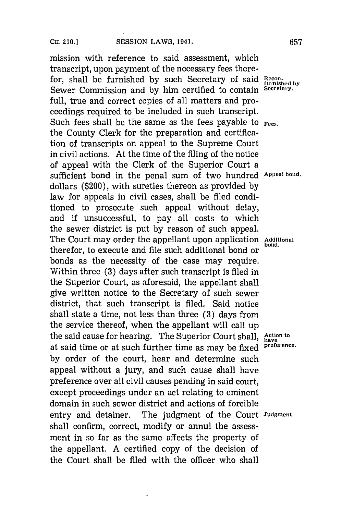# CH. **210.JSESSION** LAWS, 1941.67 **CH.** 210.] **657**

mission with reference to said assessment, which transcript, upon payment of the necessary fees therefor, shall be furnished by such Secretary of said Record-Sewer Commission and **by** him certified to contain **Secretary.** full, true and correct copies of all matters and proceedings required to be included in such transcript. Such fees shall be the same as the fees payable to *Fees.* the County Clerk for the preparation and certification of transcripts on appeal to the Supreme Court in civil actions. At the time of the filing of the notice of appeal with the Clerk of the Superior Court a sufficient bond in the penal sum of two hundred **Appeal bond.** dollars (\$200), with sureties thereon as provided **by** law for appeals in civil cases, shall be filed conditioned to prosecute such appeal without delay, and if unsuccessful, to pay all costs to which the sewer district is put **by** reason of such appeal. The Court may order the appellant upon application Additional therefor, to execute and file such additional bond or bonds as the necessity of the case may require. Within three **(3)** days after such transcript is filed in the Superior Court, as aforesaid, the appellant shall give written notice to the Secretary of such sewer district, that such transcript is filed. Said notice shall state a time, not less than three **(3)** days from the service thereof, when the appellant will call up the said cause for hearing. The Superior Court shall, Action to at said time or at such further time as may be fixed **preference. by** order of the court, hear and determine such appeal without a jury, and such cause shall have preference over all civil causes pending in said court, except proceedings under an act relating to eminent domain in such sewer district and actions of forcible entry and detainer. The judgment of the Court **Judgment.** shall confirm, correct, modify or annul the assessment in so far as the same affects the property of the appellant. **A** certified copy of the decision of the Court shall be filed with the officer who shall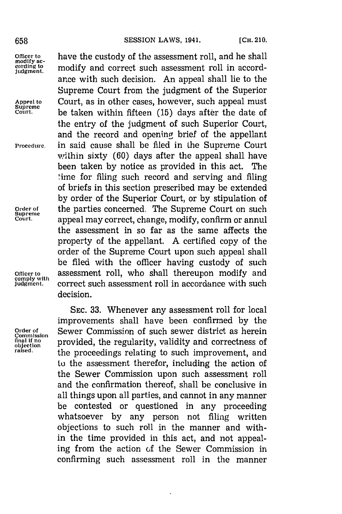### 658 **SESSION LAWS, 1941.** [CH. 210.

**comply with**

Officer to **have the custody of the assessment roll**, and he shall modify and correct such assessment roll in accord**judgment.** modify and correct such assessment roll in accordance with such decision. An appeal shall lie to the Supreme Court from the judgment of the Superior **Appeal to** Court, as in other cases, however, such appeal must **Supreme Court.** be taken within fifteen **(15)** days after the date of the entry of the judgment of such Superior Court, and the record and opening brief of the appellant **Procedure,** in said cause shall be filed in the Supreme Court within sixty **(60)** days after the appeal shall have been taken **by** notice as provided in this act. The -ime for filing such record and serving and filing of briefs in this section prescribed may be extended **by** order of the Superior Court, or **by** stipulation of **Order of** the parties concerned, The Supreme Court on such **Supreme Court.** appeal may correct, change, modify, confirm or annul the assessment in so far as the same affects the property of the appellant. **A** certified copy of the order of the Supreme Court upon such appeal shall be filed with the officer having custody of such **Officer to** assessment roll, who shall thereupon modify and correct such assessment roll in accordance with such decision.

**SEC. 33.** Whenever any assessment roll for local improvements shall have been confirmed **by** the Order of **Sewer Commission of such sewer district as herein**<br>Commission **provided** the requierity validity and correctness of **Conduction objection provided, the regularity, validity and correctness of raised.** the proceedings relating to such improvement, and to the assessment therefor, including the action of the Sewer Commission upon such assessment roll and the confirmation thereof, shall be conclusive in all things upon all parties, and cannot in any manner be contested or questioned in any proceeding whatsoever **by** any person not filing written objections to such roll in the manner and within the time provided in this act, and not appealing from the action of the Sewer Commission in confirming such assessment roll in the manner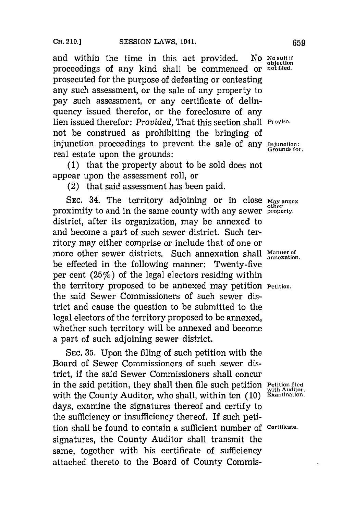and within the time in this act provided. No No suit if proceedings of any kind shall be commenced or **not filed,** prosecuted for the purpose of defeating or contesting any such assessment, or the sale of any property to pay such assessment, or any certificate of delinquency issued therefor, or the foreclosure of any lien issued therefor: *Provided,* That this section shall **Proviso.** not be construed as prohibiting the bringing of injunction proceedings to prevent the sale of any Injunction: real estate upon the grounds:

**(1)** that the property about to be sold does not appear upon the assessment roll, or

(2) that said assessment has been paid.

SEC. 34. The territory adjoining or in close  $\text{May annex}$  proximity to and in the same county with any sewer **property**. district, after its organization, may be annexed to and become a part of such sewer district. Such territory may either comprise or include that of one or more other sewer districts. Such annexation shall Mannexation. be effected in the following manner: Twenty-five per cent  $(25\%)$  of the legal electors residing within the territory proposed to be annexed may petition **Petition,** the said Sewer Commissioners of such sewer district and cause the question to be submitted to the legal electors of the territory proposed to be annexed, whether such territory will be annexed and become a part of such adjoining sewer district.

SEC. 35. Upon the filing of such petition with the Board of Sewer Commissioners of such sewer district, if the said Sewer Commissioners shall concur in the said petition, they shall then file such petition **Petition filed** with Auditor. with the County Auditor, who shall, within ten (10) Examination. days, examine the signatures thereof and certify to the sufficiency or insufficiency thereof. If such petition shall be found to contain a sufficient number of **Certificate.** signatures, the County Auditor shall transmit the same, together with his certificate of sufficiency attached thereto to the Board of County Commis-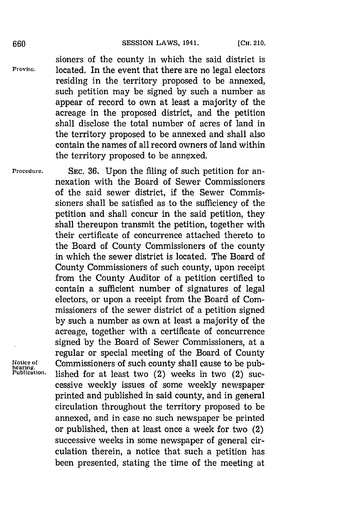sioners of the county in which the said district is Proviso, located. In the event that there are no legal electors residing in the territory proposed to be annexed, such petition may be signed **by** such a number as appear of record to own at least a majority of the acreage in the proposed district, and the petition shall disclose the total number of acres of land in the territory proposed to be annexed and shall also contain the names of all record owners of land within the territory proposed to be annexed.

**Procedure. SEC. 36.** Upon the filing of such petition for annexation with the Board of Sewer Commissioners of the said sewer district, if the Sewer Commissioners shall be satisfied as to the sufficiency of the petition and shall concur in the said petition, they shall thereupon transmit the petition, together with their certificate of concurrence attached thereto to the Board of County Commissioners of the county in which the sewer district is located. The Board of County Commissioners of such county, upon receipt from the County Auditor of a petition certified to contain a sufficient number of signatures of legal electors, or upon a receipt from the Board of Commissioners of the sewer district of a petition signed **by** such a number as own at least a majority of the acreage, together with a certificate of concurrence signed **by** the Board of Sewer Commissioners, at a regular or special meeting of the Board of County Notice of Commissioners of such county shall cause to be pub-<br>hearing.<br>Publication. lished for at losst two (2) weeks in two (2) sue lished for at least two  $(2)$  weeks in two  $(2)$  successive weekly issues of some weekly newspaper printed and published in said county, and in general circulation throughout the territory proposed to be annexed, and in case no such newspaper be printed or published, then at least once a week for two (2) successive weeks in some newspaper of general circulation therein, a notice that such a petition has been presented, stating the time of the meeting at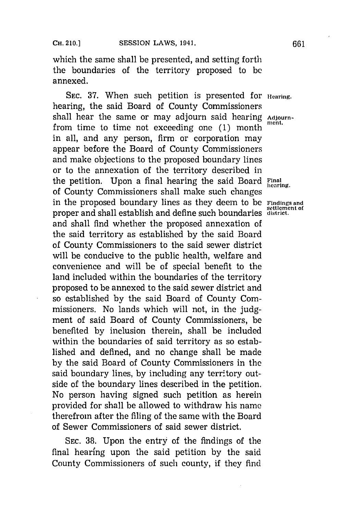which the same shall be presented, and setting forth the boundaries of the territory proposed to **be** annexed.

SEC. 37. When such petition is presented for **Hearing**. hearing, the said Board of County Commissioners shall hear the same or may adjourn said hearing Adjournfrom time to time not exceeding one (1) month in all, and any person, firm or corporation may appear before the Board of County Commissioners and make objections to the proposed boundary lines or to the annexation of the territory described in the petition. Upon a final hearing the said Board Final of County Commissioners shall make such changes in the proposed boundary lines as they deem to be **Findings and ettlement of** proper and shall establish and define such boundaries **ditrict.** and shall find whether the proposed annexation of the said territory as established **by** the said Board of County Commissioners to the said sewer district will be conducive to the public health, welfare and convenience and will be of special benefit to the land included within the boundaries of the territory proposed to be annexed to the said sewer district and so established **by** the said Board of County Commissioners. No lands which will not, in the **judg**ment of said Board of County Commissioners, be benefited **by** inclusion therein, shall be included within the boundaries of said territory as so established and defined, and no change shall be made **by** the said Board of County Commissioners in the said boundary lines, **by** including any territory outside of the boundary lines described in the petition. No person having signed such petition as herein provided for shall be allowed to withdraw his name therefrom after the filing of the same with the Board of Sewer Commissioners of said sewer district.

**SEC. 38.** Upon the entry of the findings of the final hearing upon the said petition **by** the said County Commissioners of such county, if they find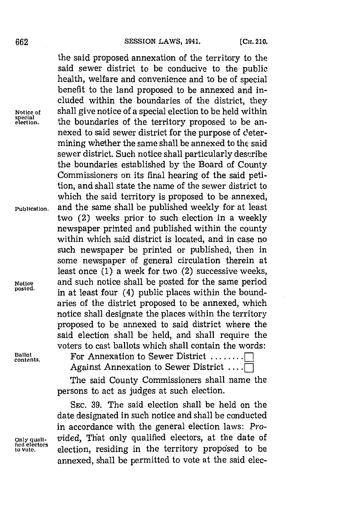the said proposed annexation of the territory to the said sewer district to be conducive to the public health, welfare and convenience and to be of special benefit to the land proposed to be annexed and included within the boundaries of the district, they **Notice of** shall give notice of a special election to be held within **special** the boundaries of the territory proposed to be annexed to said sewer district for the purpose of d'etermining whether the same shall be annexed to the said sewer district. Such notice shall particularly describe the boundaries established **by** the Board of County Commissioners on its final hearing of the said petition, and shall state the name of the sewer district to which the said territory is proposed to be annexed, **Publication,** and the same shall be published weekly for at least two (2) weeks prior to such election in a weekly newspaper printed and published within the county within which said district is located, and in case no such newspaper be printed or published, then in some newspaper of general circulation therein at least once **(1)** a week for two (2) successive weeks, **Notice** and such notice shall be posted for the same period in at least four (4) public places within the boundaries of the district proposed to be annexed, which notice shall designate the places within the territory proposed to be annexed to said district where the said election shall be held, and shall require the voters to cast ballots which shall contain the words:

**Ballot**

**contents.** For Annexation to Sewer District **........ I** Against Annexation to Sewer District ....

> The said County Commissioners shall name the persons to act as judges at such election.

**SEC. 39.** The said election shall be held on the date designated in such notice and shall be conducted in accordance with the general election laws: *Pro-***Only quali-** *vided,* That only qualified electors, at the date of Icca electors election, residing in the territory proposed to be annexed, shall be permitted to vote at the said elec-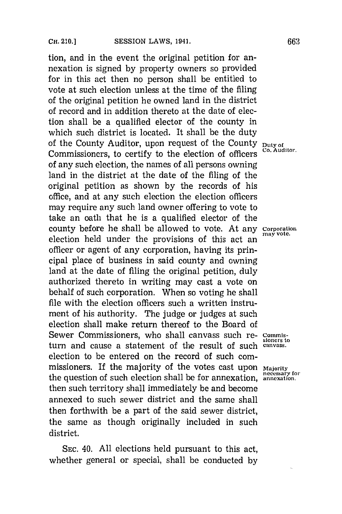tion, and in the event the original petition for annexation is signed **by** property owners so provided for in this act then no person shall be entitled to vote at such election unless at the time of the filing of the original petition he owned land in the district of record and in addition thereto at the date of election shall be a qualified elector of the county in which such district is located. It shall be the duty of the County Auditor, upon request of the County **Duty of** Commissioners, to certify to the election of officers of any such election, the names of all persons owning land in the district at the date of the filing of the original petition as shown **by** the records of his office, and at any such election the election officers may require any such land owner offering to vote to take an oath that he is a qualified elector of the county before he shall be allowed to vote. At any **Corporation** may vote. election held under the provisions of this act an officer or agent of any corporation, having its principal place of business in said county and owning land at the date of filing the original petition, duly authorized thereto in writing may cast a vote on behalf of such corporation. When so voting he shall file with the election officers such a written instrument of his authority. The judge or judges at such election shall make return thereof to the Board of Sewer Commissioners, who shall canvass such re- Commisturn and cause a statement of the result of such **canvass.** election to be entered on the record of such commissioners. If the majority of the votes cast upon Majority the question of such election shall be for annexation. **annexation**. then such territory shall immediately be and become annexed to such sewer district and the same shall then forthwith be a part of the said sewer district, the same as though originally included in such district.

**SEC.** 40. **All** elections held pursuant to this act, whether general or special, shall be conducted **by**

**sioners to**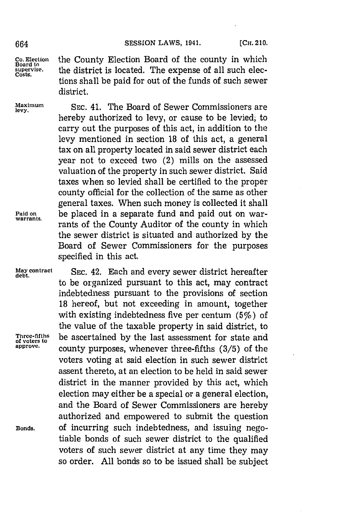**Co. Election** the County Election Board of the county in which **Board to** the district is located. The expense of all such elections shall be paid for out of the funds of such sewer district.

> hereby authorized to levy, or cause to be levied; to carry out the purposes of this act, in addition to the levy mentioned in section **18** of this act, a general tax on all property located in said sewer district each year not to exceed two (2) mills on the assessed

> the sewer district is situated and authorized **by** the Board of Sewer Commissioners for the purposes

Maximum SEC. 41. The Board of Sewer Commissioners are

valuation of the property in such sewer district. Said taxes when so levied shall be certified to the proper county official for the collection of the same as other general taxes. When such money is collected it shall Paid on **be** placed in a separate fund and paid out on war-<br>warrants. rants of the County Auditor of the county in which

specified in this act.

**May contract SEC.** 42. Each and every sewer district hereafter to be organized pursuant to this act, may contract indebtedness pursuant to the provisions of section **18** hereof, but not exceeding in amount, together with existing indebtedness five per centum  $(5\%)$  of the value of the taxable property in said district, to Three-fifths be ascertained by the **approve,** county purposes, whenever three-fifths **(3/5)** of the voters voting at said election in such sewer district assent thereto, at an election to be held in said sewer district in the manner provided **by** this act, which election may either be a special or a general election, and the Board of Sewer Commissioners are hereby authorized and empowered to submit the question **Bonds,** of incurring such indebtedness, and issuing negotiable bonds of such sewer district to the qualified voters of such sewer district at any time they may so order. **All** bonds so to be issued shall be subject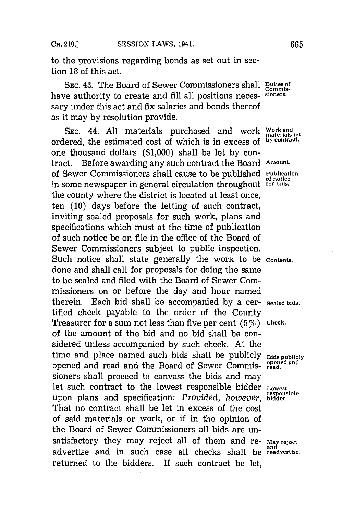to the provisions regarding bonds as set out in section **18** of this act.

**SEC.** 43. The Board of Sewer Commissioners shall **Duties of** have authority to create and **fill** all positions neces- **stoners.** sary under this act and fix salaries and bonds thereof as it may **by** resolution provide.

SEC. 44. All materials purchased and work **Work and** let ordered, the estimated cost of which is in excess **of by contract.** one thousand dollars **(\$1,000)** shall be let **by** contract. Before awarding any such contract the Board **Amount.** of Sewer Commissioners shall cause to be published **Pubication** in some newspaper in general circulation throughout **for bids.** the county where the district is located at least once, ten **(10)** days before the letting of such contract, inviting sealed proposals for such work, plans and specifications which must at the time of publication of such notice be on file in the office of the Board of Sewer Commissioners subject to public inspection. Such notice shall state generally the work to be **contents,** done and shall call for proposals for doing the same to be sealed and filed with the Board of Sewer Commissioners on or before the day and hour named therein. Each bid shall be accompanied **by** a cer- **Sealed bids..** tified check payable to the order of the County Treasurer for a sum not less than five per cent  $(5\%)$  Check. of the amount of the bid and no bid shall be considered unless accompanied **by** such check. At the time and place named such bids shall be publicly **Bids publicly** opened and read and the Board of Sewer Commissioners shall proceed to canvass the bids and may let such contract to the lowest responsible bidder **Lowest responsible** upon plans and specification: *Provided, however ,* **bidder.** That no contract shall be let in excess of the cost of said materials or work, or if in the opinion of the Board of Sewer Commissioners all bids are unsatisfactory they may reject all of them and re- May reject advertise and in such case all checks shall be **readvertise.** returned to the bidders. If such contract be let,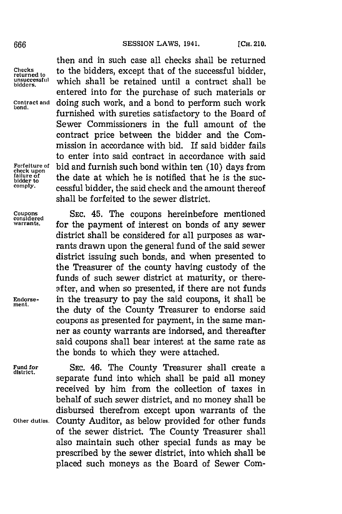**unsuccessful**<br>bidders.

**Forfeiture check** 

**Fund for SEC.** 46. The County Treasurer shall create a **district.** separate fund into which shall be paid all money received **by** him from the collection of taxes in behalf of such sewer district, and no money shall be disbursed therefrom except upon warrants of the **Other duties.** County Auditor, as below provided for other funds of the sewer district. The County Treasurer shall also maintain such other special funds as may be prescribed **by** the sewer district, into which shall be placed such moneys as the Board of Sewer Com-

then and in such case all checks shall be returned Checks to the bidders, except that of the successful bidder, which shall be retained until a contract shall be entered into for the purchase of such materials or Contract and doing such work, and a bond to perform such work furnished with sureties satisfactory to the Board of Sewer Commissioners in the full amount of the contract price between the bidder and the Commission in accordance with bid. If said bidder fails to enter into said contract in accordance with said **of** bid and furnish such bond within ten **(10)** days from **Forfeiture of** bid and furnish such bond within ten (10) days<br>tailure of the date at which he is notified that he is the<br>bidder to <u>bidder</u> to the date at which he is nothing that he is the suc-<br><sup>comply</sup> cessful bidder, the said check and the amount thereof shall be forfeited to the sewer district.

**Coupons SEC.** 45. The coupons hereinbefore mentioned **considered** for the payment of interest on bonds of any sewer district shall be considered for all purposes as warrants drawn upon the general fund of the said sewer district issuing such bonds, and when presented to the Treasurer of the county having custody of the funds of such sewer district at maturity, or thereafter, and when so presented, if there are not funds **Endorse-** in the treasury to pay the said coupons, it shall be **ment.** the duty of the County Treasurer to endorse said coupons as presented for payment, in the same manner as county warrants are indorsed, and thereafter said coupons shall bear interest at the same rate as the bonds to which they were attached.